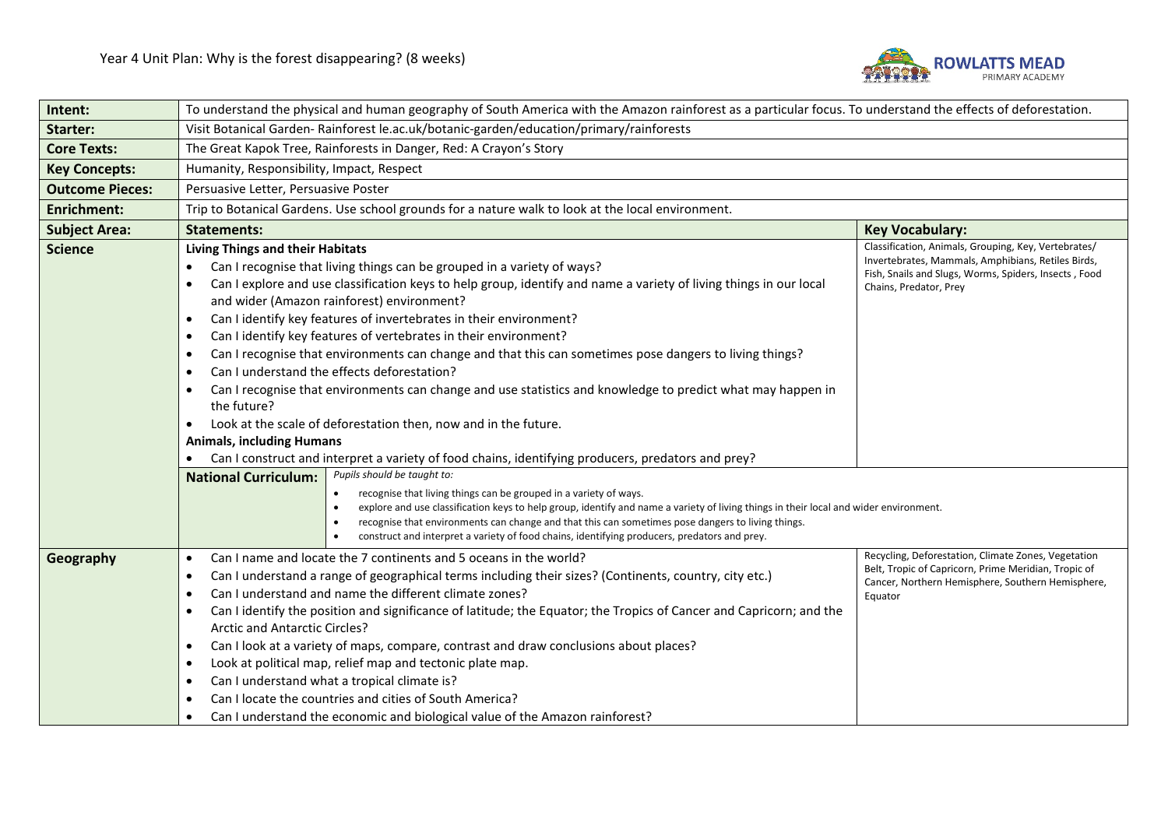

| Intent:                | To understand the physical and human geography of South America with the Amazon rainforest as a particular focus. To understand the effects of deforestation.                                                                                                                                                                                                                                                                                                                                                                                                                                                                                                                                                                                                                                                                                                                                                                                                                             |                                                                                                                                                                                               |  |  |
|------------------------|-------------------------------------------------------------------------------------------------------------------------------------------------------------------------------------------------------------------------------------------------------------------------------------------------------------------------------------------------------------------------------------------------------------------------------------------------------------------------------------------------------------------------------------------------------------------------------------------------------------------------------------------------------------------------------------------------------------------------------------------------------------------------------------------------------------------------------------------------------------------------------------------------------------------------------------------------------------------------------------------|-----------------------------------------------------------------------------------------------------------------------------------------------------------------------------------------------|--|--|
| <b>Starter:</b>        | Visit Botanical Garden-Rainforest le.ac.uk/botanic-garden/education/primary/rainforests                                                                                                                                                                                                                                                                                                                                                                                                                                                                                                                                                                                                                                                                                                                                                                                                                                                                                                   |                                                                                                                                                                                               |  |  |
| <b>Core Texts:</b>     | The Great Kapok Tree, Rainforests in Danger, Red: A Crayon's Story                                                                                                                                                                                                                                                                                                                                                                                                                                                                                                                                                                                                                                                                                                                                                                                                                                                                                                                        |                                                                                                                                                                                               |  |  |
| <b>Key Concepts:</b>   | Humanity, Responsibility, Impact, Respect                                                                                                                                                                                                                                                                                                                                                                                                                                                                                                                                                                                                                                                                                                                                                                                                                                                                                                                                                 |                                                                                                                                                                                               |  |  |
| <b>Outcome Pieces:</b> | Persuasive Letter, Persuasive Poster                                                                                                                                                                                                                                                                                                                                                                                                                                                                                                                                                                                                                                                                                                                                                                                                                                                                                                                                                      |                                                                                                                                                                                               |  |  |
| Enrichment:            | Trip to Botanical Gardens. Use school grounds for a nature walk to look at the local environment.                                                                                                                                                                                                                                                                                                                                                                                                                                                                                                                                                                                                                                                                                                                                                                                                                                                                                         |                                                                                                                                                                                               |  |  |
| <b>Subject Area:</b>   | <b>Statements:</b><br><b>Key Vocabulary:</b>                                                                                                                                                                                                                                                                                                                                                                                                                                                                                                                                                                                                                                                                                                                                                                                                                                                                                                                                              |                                                                                                                                                                                               |  |  |
| <b>Science</b>         | <b>Living Things and their Habitats</b><br>Can I recognise that living things can be grouped in a variety of ways?<br>Can I explore and use classification keys to help group, identify and name a variety of living things in our local<br>and wider (Amazon rainforest) environment?<br>Can I identify key features of invertebrates in their environment?<br>$\bullet$<br>Can I identify key features of vertebrates in their environment?<br>$\bullet$<br>Can I recognise that environments can change and that this can sometimes pose dangers to living things?<br>$\bullet$<br>Can I understand the effects deforestation?<br>$\bullet$<br>Can I recognise that environments can change and use statistics and knowledge to predict what may happen in<br>the future?<br>Look at the scale of deforestation then, now and in the future.<br><b>Animals, including Humans</b><br>Can I construct and interpret a variety of food chains, identifying producers, predators and prey? | Classification, Animals, Grouping, Key, Vertebrates/<br>Invertebrates, Mammals, Amphibians, Retiles Birds,<br>Fish, Snails and Slugs, Worms, Spiders, Insects, Food<br>Chains, Predator, Prey |  |  |
|                        | Pupils should be taught to:<br><b>National Curriculum:</b><br>recognise that living things can be grouped in a variety of ways.<br>explore and use classification keys to help group, identify and name a variety of living things in their local and wider environment.<br>recognise that environments can change and that this can sometimes pose dangers to living things.<br>construct and interpret a variety of food chains, identifying producers, predators and prey.                                                                                                                                                                                                                                                                                                                                                                                                                                                                                                             | Recycling, Deforestation, Climate Zones, Vegetation                                                                                                                                           |  |  |
| Geography              | Can I name and locate the 7 continents and 5 oceans in the world?<br>$\bullet$<br>Can I understand a range of geographical terms including their sizes? (Continents, country, city etc.)<br>$\bullet$<br>Can I understand and name the different climate zones?<br>$\bullet$<br>Can I identify the position and significance of latitude; the Equator; the Tropics of Cancer and Capricorn; and the<br>$\bullet$<br>Arctic and Antarctic Circles?<br>Can I look at a variety of maps, compare, contrast and draw conclusions about places?<br>$\bullet$<br>Look at political map, relief map and tectonic plate map.<br>$\bullet$<br>Can I understand what a tropical climate is?<br>$\bullet$<br>Can I locate the countries and cities of South America?<br>$\bullet$<br>Can I understand the economic and biological value of the Amazon rainforest?                                                                                                                                    | Belt, Tropic of Capricorn, Prime Meridian, Tropic of<br>Cancer, Northern Hemisphere, Southern Hemisphere,<br>Equator                                                                          |  |  |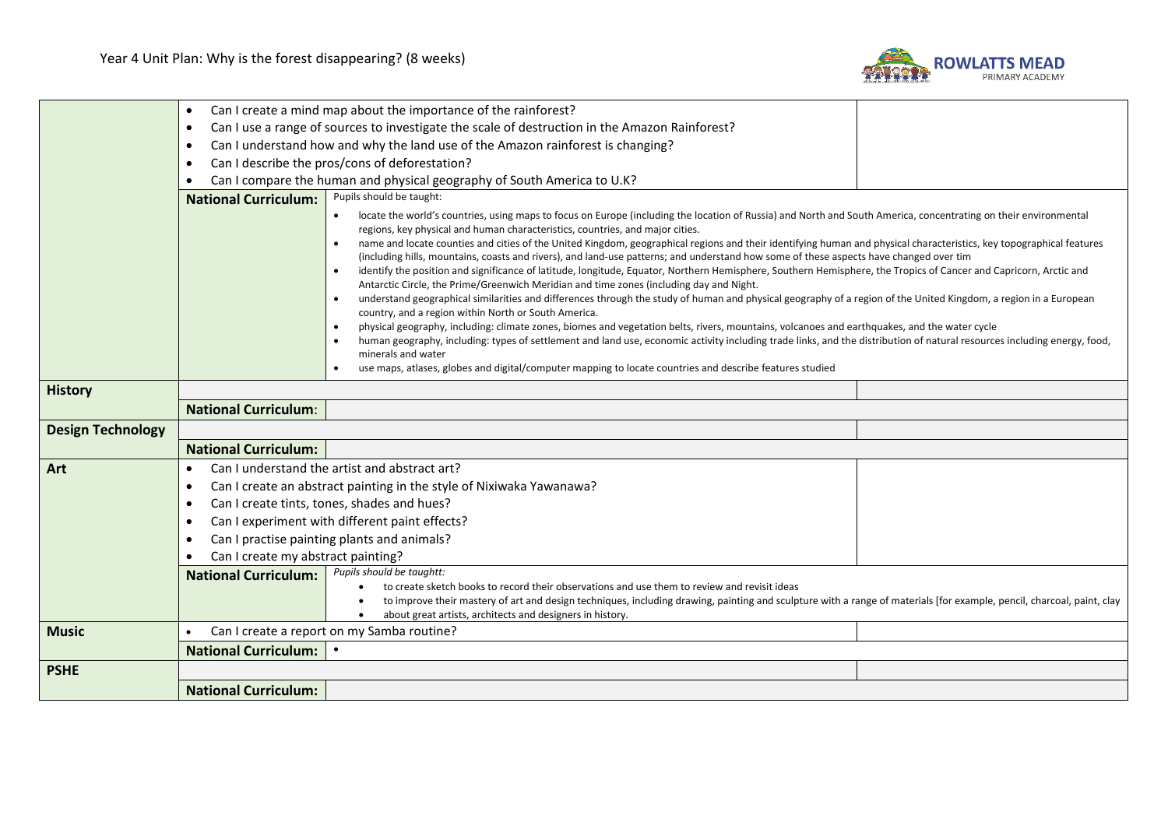

|                          | $\bullet$                                                                                                                                                                                                                                                                                                                                                                  | Can I create a mind map about the importance of the rainforest?                                                                                                                                                                                                                                                                                                                                                                                                                                                                                                                                                                                                                                                                                                                                                                                                                                                                                                                                                                                                                                                                                                                                                                                                                                                                                                                                          |  |  |  |
|--------------------------|----------------------------------------------------------------------------------------------------------------------------------------------------------------------------------------------------------------------------------------------------------------------------------------------------------------------------------------------------------------------------|----------------------------------------------------------------------------------------------------------------------------------------------------------------------------------------------------------------------------------------------------------------------------------------------------------------------------------------------------------------------------------------------------------------------------------------------------------------------------------------------------------------------------------------------------------------------------------------------------------------------------------------------------------------------------------------------------------------------------------------------------------------------------------------------------------------------------------------------------------------------------------------------------------------------------------------------------------------------------------------------------------------------------------------------------------------------------------------------------------------------------------------------------------------------------------------------------------------------------------------------------------------------------------------------------------------------------------------------------------------------------------------------------------|--|--|--|
|                          | Can I use a range of sources to investigate the scale of destruction in the Amazon Rainforest?<br>$\bullet$                                                                                                                                                                                                                                                                |                                                                                                                                                                                                                                                                                                                                                                                                                                                                                                                                                                                                                                                                                                                                                                                                                                                                                                                                                                                                                                                                                                                                                                                                                                                                                                                                                                                                          |  |  |  |
|                          | Can I understand how and why the land use of the Amazon rainforest is changing?<br>$\bullet$                                                                                                                                                                                                                                                                               |                                                                                                                                                                                                                                                                                                                                                                                                                                                                                                                                                                                                                                                                                                                                                                                                                                                                                                                                                                                                                                                                                                                                                                                                                                                                                                                                                                                                          |  |  |  |
|                          | $\bullet$                                                                                                                                                                                                                                                                                                                                                                  | Can I describe the pros/cons of deforestation?                                                                                                                                                                                                                                                                                                                                                                                                                                                                                                                                                                                                                                                                                                                                                                                                                                                                                                                                                                                                                                                                                                                                                                                                                                                                                                                                                           |  |  |  |
|                          | Can I compare the human and physical geography of South America to U.K?<br>$\bullet$                                                                                                                                                                                                                                                                                       |                                                                                                                                                                                                                                                                                                                                                                                                                                                                                                                                                                                                                                                                                                                                                                                                                                                                                                                                                                                                                                                                                                                                                                                                                                                                                                                                                                                                          |  |  |  |
|                          | <b>National Curriculum:</b>                                                                                                                                                                                                                                                                                                                                                | Pupils should be taught:                                                                                                                                                                                                                                                                                                                                                                                                                                                                                                                                                                                                                                                                                                                                                                                                                                                                                                                                                                                                                                                                                                                                                                                                                                                                                                                                                                                 |  |  |  |
|                          |                                                                                                                                                                                                                                                                                                                                                                            | locate the world's countries, using maps to focus on Europe (including the location of Russia) and North and South America, concentrating on their environmental<br>regions, key physical and human characteristics, countries, and major cities.<br>name and locate counties and cities of the United Kingdom, geographical regions and their identifying human and physical characteristics, key topographical features<br>(including hills, mountains, coasts and rivers), and land-use patterns; and understand how some of these aspects have changed over tim<br>identify the position and significance of latitude, longitude, Equator, Northern Hemisphere, Southern Hemisphere, the Tropics of Cancer and Capricorn, Arctic and<br>Antarctic Circle, the Prime/Greenwich Meridian and time zones (including day and Night.<br>understand geographical similarities and differences through the study of human and physical geography of a region of the United Kingdom, a region in a European<br>country, and a region within North or South America.<br>physical geography, including: climate zones, biomes and vegetation belts, rivers, mountains, volcanoes and earthquakes, and the water cycle<br>$\bullet$<br>human geography, including: types of settlement and land use, economic activity including trade links, and the distribution of natural resources including energy, food, |  |  |  |
|                          |                                                                                                                                                                                                                                                                                                                                                                            | minerals and water<br>use maps, atlases, globes and digital/computer mapping to locate countries and describe features studied                                                                                                                                                                                                                                                                                                                                                                                                                                                                                                                                                                                                                                                                                                                                                                                                                                                                                                                                                                                                                                                                                                                                                                                                                                                                           |  |  |  |
| <b>History</b>           |                                                                                                                                                                                                                                                                                                                                                                            |                                                                                                                                                                                                                                                                                                                                                                                                                                                                                                                                                                                                                                                                                                                                                                                                                                                                                                                                                                                                                                                                                                                                                                                                                                                                                                                                                                                                          |  |  |  |
|                          | <b>National Curriculum:</b>                                                                                                                                                                                                                                                                                                                                                |                                                                                                                                                                                                                                                                                                                                                                                                                                                                                                                                                                                                                                                                                                                                                                                                                                                                                                                                                                                                                                                                                                                                                                                                                                                                                                                                                                                                          |  |  |  |
| <b>Design Technology</b> |                                                                                                                                                                                                                                                                                                                                                                            |                                                                                                                                                                                                                                                                                                                                                                                                                                                                                                                                                                                                                                                                                                                                                                                                                                                                                                                                                                                                                                                                                                                                                                                                                                                                                                                                                                                                          |  |  |  |
|                          | <b>National Curriculum:</b>                                                                                                                                                                                                                                                                                                                                                |                                                                                                                                                                                                                                                                                                                                                                                                                                                                                                                                                                                                                                                                                                                                                                                                                                                                                                                                                                                                                                                                                                                                                                                                                                                                                                                                                                                                          |  |  |  |
|                          |                                                                                                                                                                                                                                                                                                                                                                            | Can I understand the artist and abstract art?                                                                                                                                                                                                                                                                                                                                                                                                                                                                                                                                                                                                                                                                                                                                                                                                                                                                                                                                                                                                                                                                                                                                                                                                                                                                                                                                                            |  |  |  |
| Art                      | $\bullet$                                                                                                                                                                                                                                                                                                                                                                  |                                                                                                                                                                                                                                                                                                                                                                                                                                                                                                                                                                                                                                                                                                                                                                                                                                                                                                                                                                                                                                                                                                                                                                                                                                                                                                                                                                                                          |  |  |  |
|                          | Can I create an abstract painting in the style of Nixiwaka Yawanawa?<br>$\bullet$<br>Can I create tints, tones, shades and hues?<br>$\bullet$<br>Can I experiment with different paint effects?<br>$\bullet$<br>Can I practise painting plants and animals?<br>$\bullet$<br>Can I create my abstract painting?<br>Pupils should be taughtt:<br><b>National Curriculum:</b> |                                                                                                                                                                                                                                                                                                                                                                                                                                                                                                                                                                                                                                                                                                                                                                                                                                                                                                                                                                                                                                                                                                                                                                                                                                                                                                                                                                                                          |  |  |  |
|                          |                                                                                                                                                                                                                                                                                                                                                                            |                                                                                                                                                                                                                                                                                                                                                                                                                                                                                                                                                                                                                                                                                                                                                                                                                                                                                                                                                                                                                                                                                                                                                                                                                                                                                                                                                                                                          |  |  |  |
|                          |                                                                                                                                                                                                                                                                                                                                                                            |                                                                                                                                                                                                                                                                                                                                                                                                                                                                                                                                                                                                                                                                                                                                                                                                                                                                                                                                                                                                                                                                                                                                                                                                                                                                                                                                                                                                          |  |  |  |
|                          |                                                                                                                                                                                                                                                                                                                                                                            |                                                                                                                                                                                                                                                                                                                                                                                                                                                                                                                                                                                                                                                                                                                                                                                                                                                                                                                                                                                                                                                                                                                                                                                                                                                                                                                                                                                                          |  |  |  |
|                          |                                                                                                                                                                                                                                                                                                                                                                            |                                                                                                                                                                                                                                                                                                                                                                                                                                                                                                                                                                                                                                                                                                                                                                                                                                                                                                                                                                                                                                                                                                                                                                                                                                                                                                                                                                                                          |  |  |  |
|                          |                                                                                                                                                                                                                                                                                                                                                                            | to create sketch books to record their observations and use them to review and revisit ideas<br>to improve their mastery of art and design techniques, including drawing, painting and sculpture with a range of materials [for example, pencil, charcoal, paint, clay<br>about great artists, architects and designers in history.                                                                                                                                                                                                                                                                                                                                                                                                                                                                                                                                                                                                                                                                                                                                                                                                                                                                                                                                                                                                                                                                      |  |  |  |
| <b>Music</b>             | Can I create a report on my Samba routine?<br>$\bullet$                                                                                                                                                                                                                                                                                                                    |                                                                                                                                                                                                                                                                                                                                                                                                                                                                                                                                                                                                                                                                                                                                                                                                                                                                                                                                                                                                                                                                                                                                                                                                                                                                                                                                                                                                          |  |  |  |
|                          | <b>National Curriculum:</b>                                                                                                                                                                                                                                                                                                                                                |                                                                                                                                                                                                                                                                                                                                                                                                                                                                                                                                                                                                                                                                                                                                                                                                                                                                                                                                                                                                                                                                                                                                                                                                                                                                                                                                                                                                          |  |  |  |
| <b>PSHE</b>              |                                                                                                                                                                                                                                                                                                                                                                            |                                                                                                                                                                                                                                                                                                                                                                                                                                                                                                                                                                                                                                                                                                                                                                                                                                                                                                                                                                                                                                                                                                                                                                                                                                                                                                                                                                                                          |  |  |  |
|                          | <b>National Curriculum:</b>                                                                                                                                                                                                                                                                                                                                                |                                                                                                                                                                                                                                                                                                                                                                                                                                                                                                                                                                                                                                                                                                                                                                                                                                                                                                                                                                                                                                                                                                                                                                                                                                                                                                                                                                                                          |  |  |  |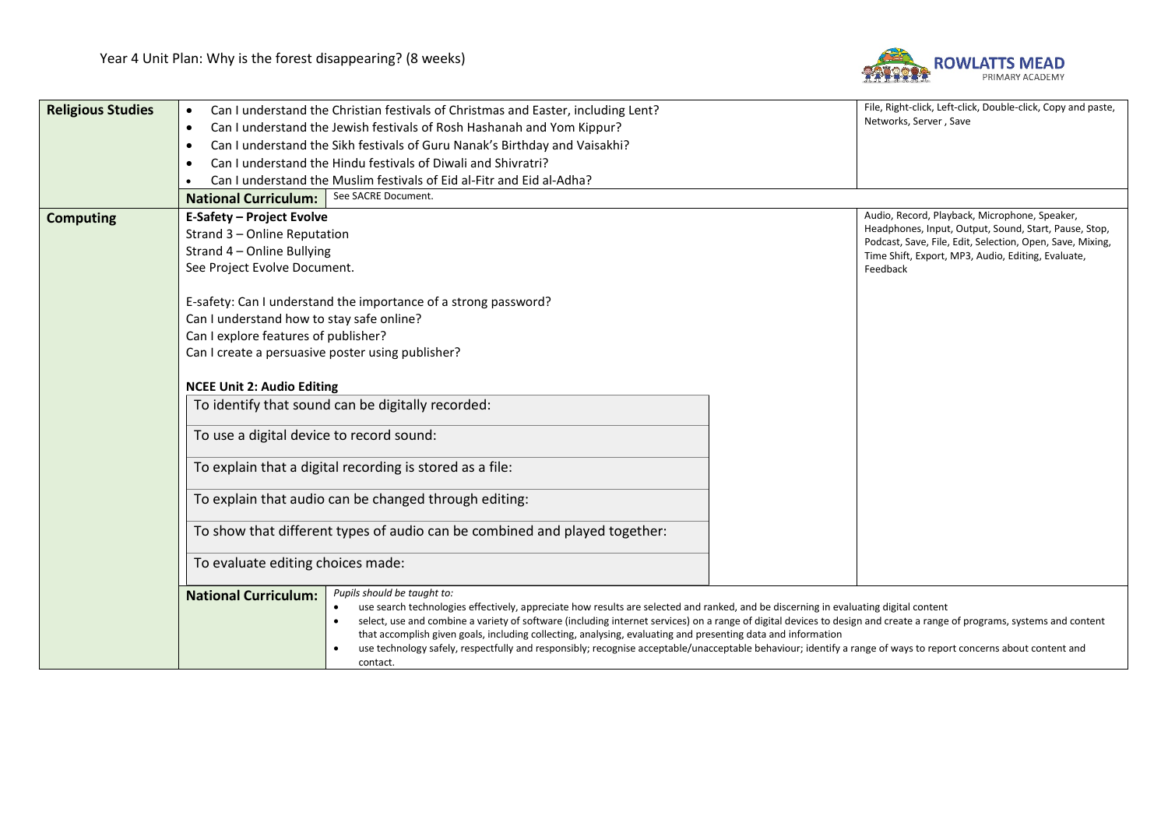

| <b>Religious Studies</b> | Can I understand the Christian festivals of Christmas and Easter, including Lent?<br>$\bullet$                                                                                                                                                                                                                                                                                                                                                                                                                                                                                                                                                                               | File, Right-click, Left-click, Double-click, Copy and paste,<br>Networks, Server, Save                             |          |  |  |
|--------------------------|------------------------------------------------------------------------------------------------------------------------------------------------------------------------------------------------------------------------------------------------------------------------------------------------------------------------------------------------------------------------------------------------------------------------------------------------------------------------------------------------------------------------------------------------------------------------------------------------------------------------------------------------------------------------------|--------------------------------------------------------------------------------------------------------------------|----------|--|--|
|                          | Can I understand the Jewish festivals of Rosh Hashanah and Yom Kippur?<br>$\bullet$                                                                                                                                                                                                                                                                                                                                                                                                                                                                                                                                                                                          |                                                                                                                    |          |  |  |
|                          | Can I understand the Sikh festivals of Guru Nanak's Birthday and Vaisakhi?<br>$\bullet$                                                                                                                                                                                                                                                                                                                                                                                                                                                                                                                                                                                      |                                                                                                                    |          |  |  |
|                          | Can I understand the Hindu festivals of Diwali and Shivratri?<br>$\bullet$                                                                                                                                                                                                                                                                                                                                                                                                                                                                                                                                                                                                   |                                                                                                                    |          |  |  |
|                          | Can I understand the Muslim festivals of Eid al-Fitr and Eid al-Adha?                                                                                                                                                                                                                                                                                                                                                                                                                                                                                                                                                                                                        |                                                                                                                    |          |  |  |
|                          | See SACRE Document.<br><b>National Curriculum:</b>                                                                                                                                                                                                                                                                                                                                                                                                                                                                                                                                                                                                                           |                                                                                                                    |          |  |  |
| <b>Computing</b>         | <b>E-Safety - Project Evolve</b>                                                                                                                                                                                                                                                                                                                                                                                                                                                                                                                                                                                                                                             | Audio, Record, Playback, Microphone, Speaker,                                                                      |          |  |  |
|                          | Strand 3 - Online Reputation                                                                                                                                                                                                                                                                                                                                                                                                                                                                                                                                                                                                                                                 | Headphones, Input, Output, Sound, Start, Pause, Stop,<br>Podcast, Save, File, Edit, Selection, Open, Save, Mixing, |          |  |  |
|                          | Strand 4 - Online Bullying                                                                                                                                                                                                                                                                                                                                                                                                                                                                                                                                                                                                                                                   | Time Shift, Export, MP3, Audio, Editing, Evaluate,                                                                 |          |  |  |
|                          | See Project Evolve Document.                                                                                                                                                                                                                                                                                                                                                                                                                                                                                                                                                                                                                                                 |                                                                                                                    | Feedback |  |  |
|                          |                                                                                                                                                                                                                                                                                                                                                                                                                                                                                                                                                                                                                                                                              |                                                                                                                    |          |  |  |
|                          | E-safety: Can I understand the importance of a strong password?                                                                                                                                                                                                                                                                                                                                                                                                                                                                                                                                                                                                              |                                                                                                                    |          |  |  |
|                          | Can I understand how to stay safe online?                                                                                                                                                                                                                                                                                                                                                                                                                                                                                                                                                                                                                                    |                                                                                                                    |          |  |  |
|                          | Can I explore features of publisher?                                                                                                                                                                                                                                                                                                                                                                                                                                                                                                                                                                                                                                         |                                                                                                                    |          |  |  |
|                          | Can I create a persuasive poster using publisher?<br><b>NCEE Unit 2: Audio Editing</b>                                                                                                                                                                                                                                                                                                                                                                                                                                                                                                                                                                                       |                                                                                                                    |          |  |  |
|                          |                                                                                                                                                                                                                                                                                                                                                                                                                                                                                                                                                                                                                                                                              |                                                                                                                    |          |  |  |
|                          | To identify that sound can be digitally recorded:                                                                                                                                                                                                                                                                                                                                                                                                                                                                                                                                                                                                                            |                                                                                                                    |          |  |  |
|                          | To use a digital device to record sound:                                                                                                                                                                                                                                                                                                                                                                                                                                                                                                                                                                                                                                     |                                                                                                                    |          |  |  |
|                          | To explain that a digital recording is stored as a file:                                                                                                                                                                                                                                                                                                                                                                                                                                                                                                                                                                                                                     |                                                                                                                    |          |  |  |
|                          | To explain that audio can be changed through editing:                                                                                                                                                                                                                                                                                                                                                                                                                                                                                                                                                                                                                        |                                                                                                                    |          |  |  |
|                          | To show that different types of audio can be combined and played together:                                                                                                                                                                                                                                                                                                                                                                                                                                                                                                                                                                                                   |                                                                                                                    |          |  |  |
|                          | To evaluate editing choices made:                                                                                                                                                                                                                                                                                                                                                                                                                                                                                                                                                                                                                                            |                                                                                                                    |          |  |  |
|                          | Pupils should be taught to:<br><b>National Curriculum:</b><br>use search technologies effectively, appreciate how results are selected and ranked, and be discerning in evaluating digital content<br>select, use and combine a variety of software (including internet services) on a range of digital devices to design and create a range of programs, systems and content<br>that accomplish given goals, including collecting, analysing, evaluating and presenting data and information<br>use technology safely, respectfully and responsibly; recognise acceptable/unacceptable behaviour; identify a range of ways to report concerns about content and<br>contact. |                                                                                                                    |          |  |  |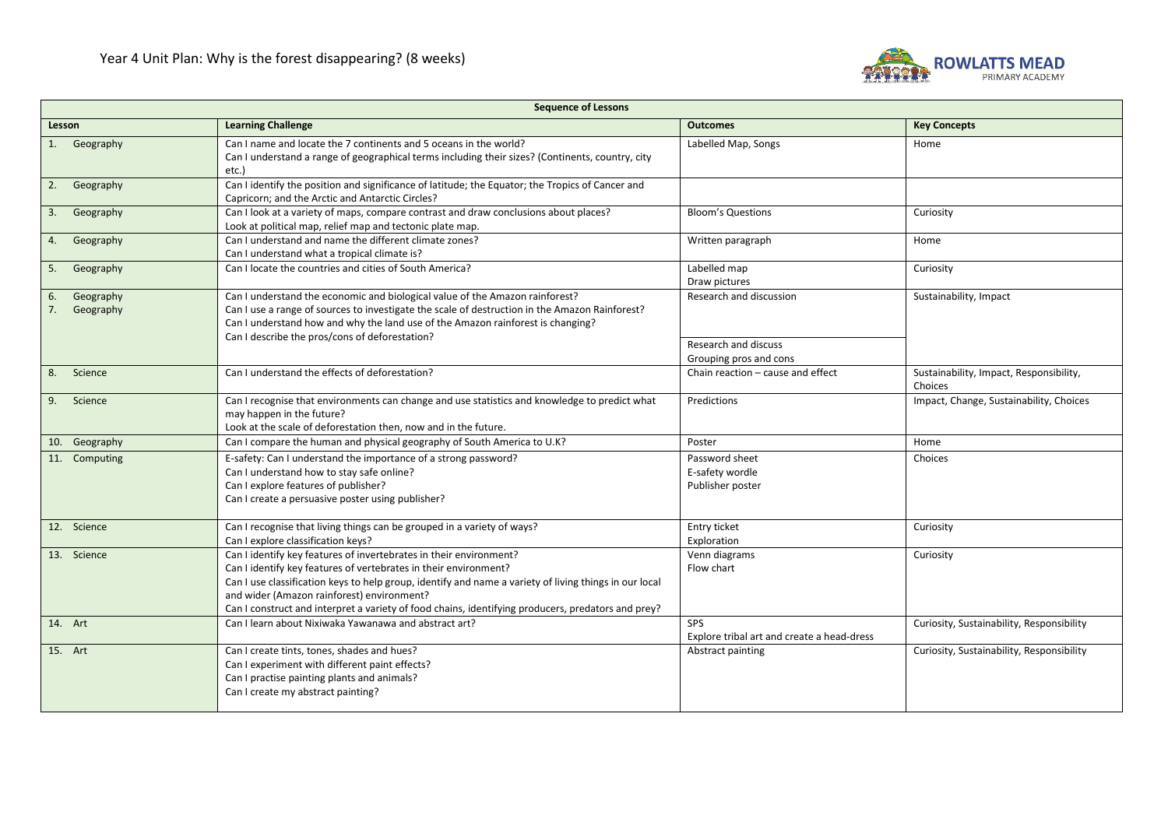

| <b>Sequence of Lessons</b>         |                                                                                                                                                                                                                                                                                                                                                                                                      |                                                                           |                                                    |
|------------------------------------|------------------------------------------------------------------------------------------------------------------------------------------------------------------------------------------------------------------------------------------------------------------------------------------------------------------------------------------------------------------------------------------------------|---------------------------------------------------------------------------|----------------------------------------------------|
| Lesson                             | <b>Learning Challenge</b>                                                                                                                                                                                                                                                                                                                                                                            | <b>Outcomes</b>                                                           | <b>Key Concepts</b>                                |
| 1. Geography                       | Can I name and locate the 7 continents and 5 oceans in the world?<br>Can I understand a range of geographical terms including their sizes? (Continents, country, city<br>etc.)                                                                                                                                                                                                                       | Labelled Map, Songs                                                       | Home                                               |
| 2. Geography                       | Can I identify the position and significance of latitude; the Equator; the Tropics of Cancer and<br>Capricorn; and the Arctic and Antarctic Circles?                                                                                                                                                                                                                                                 |                                                                           |                                                    |
| Geography<br>3.                    | Can I look at a variety of maps, compare contrast and draw conclusions about places?<br>Look at political map, relief map and tectonic plate map.                                                                                                                                                                                                                                                    | <b>Bloom's Questions</b>                                                  | Curiosity                                          |
| 4. Geography                       | Can I understand and name the different climate zones?<br>Can I understand what a tropical climate is?                                                                                                                                                                                                                                                                                               | Written paragraph                                                         | Home                                               |
| Geography<br>5.                    | Can I locate the countries and cities of South America?                                                                                                                                                                                                                                                                                                                                              | Labelled map<br>Draw pictures                                             | Curiosity                                          |
| Geography<br>6.<br>7.<br>Geography | Can I understand the economic and biological value of the Amazon rainforest?<br>Can I use a range of sources to investigate the scale of destruction in the Amazon Rainforest?<br>Can I understand how and why the land use of the Amazon rainforest is changing?<br>Can I describe the pros/cons of deforestation?                                                                                  | Research and discussion<br>Research and discuss<br>Grouping pros and cons | Sustainability, Impact                             |
| 8. Science                         | Can I understand the effects of deforestation?                                                                                                                                                                                                                                                                                                                                                       | Chain reaction - cause and effect                                         | Sustainability, Impact, Responsibility,<br>Choices |
| 9. Science                         | Can I recognise that environments can change and use statistics and knowledge to predict what<br>may happen in the future?<br>Look at the scale of deforestation then, now and in the future.                                                                                                                                                                                                        | Predictions                                                               | Impact, Change, Sustainability, Choices            |
| 10. Geography                      | Can I compare the human and physical geography of South America to U.K?                                                                                                                                                                                                                                                                                                                              | Poster                                                                    | Home                                               |
| 11. Computing                      | E-safety: Can I understand the importance of a strong password?<br>Can I understand how to stay safe online?<br>Can I explore features of publisher?<br>Can I create a persuasive poster using publisher?                                                                                                                                                                                            | Password sheet<br>E-safety wordle<br>Publisher poster                     | Choices                                            |
| 12. Science                        | Can I recognise that living things can be grouped in a variety of ways?<br>Can I explore classification keys?                                                                                                                                                                                                                                                                                        | Entry ticket<br>Exploration                                               | Curiosity                                          |
| 13. Science                        | Can I identify key features of invertebrates in their environment?<br>Can I identify key features of vertebrates in their environment?<br>Can I use classification keys to help group, identify and name a variety of living things in our local<br>and wider (Amazon rainforest) environment?<br>Can I construct and interpret a variety of food chains, identifying producers, predators and prey? | Venn diagrams<br>Flow chart                                               | Curiosity                                          |
| 14. Art                            | Can I learn about Nixiwaka Yawanawa and abstract art?                                                                                                                                                                                                                                                                                                                                                | SPS.<br>Explore tribal art and create a head-dress                        | Curiosity, Sustainability, Responsibility          |
| 15. Art                            | Can I create tints, tones, shades and hues?<br>Can I experiment with different paint effects?<br>Can I practise painting plants and animals?<br>Can I create my abstract painting?                                                                                                                                                                                                                   | Abstract painting                                                         | Curiosity, Sustainability, Responsibility          |